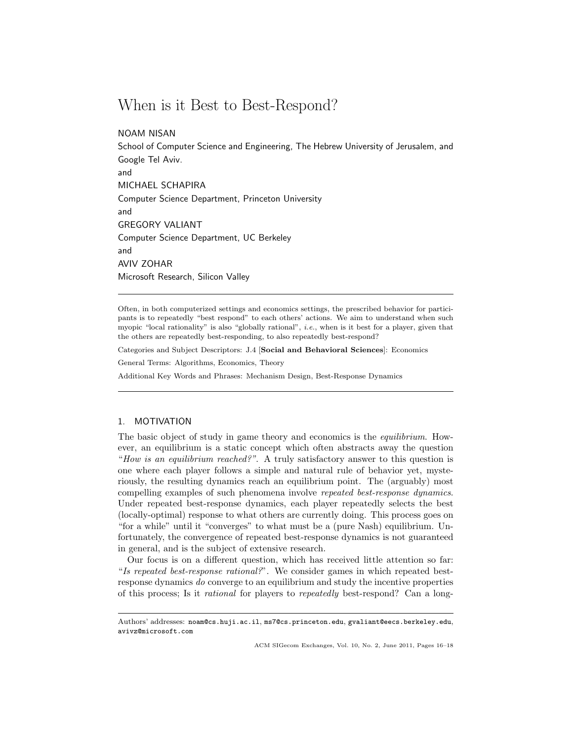# When is it Best to Best-Respond?

NOAM NISAN

School of Computer Science and Engineering, The Hebrew University of Jerusalem, and Google Tel Aviv. and MICHAEL SCHAPIRA Computer Science Department, Princeton University and GREGORY VALIANT Computer Science Department, UC Berkeley and AVIV ZOHAR Microsoft Research, Silicon Valley

Often, in both computerized settings and economics settings, the prescribed behavior for participants is to repeatedly "best respond" to each others' actions. We aim to understand when such myopic "local rationality" is also "globally rational", *i.e.*, when is it best for a player, given that the others are repeatedly best-responding, to also repeatedly best-respond?

Categories and Subject Descriptors: J.4 [Social and Behavioral Sciences]: Economics

General Terms: Algorithms, Economics, Theory

Additional Key Words and Phrases: Mechanism Design, Best-Response Dynamics

# 1. MOTIVATION

The basic object of study in game theory and economics is the *equilibrium*. However, an equilibrium is a static concept which often abstracts away the question "How is an equilibrium reached?". A truly satisfactory answer to this question is one where each player follows a simple and natural rule of behavior yet, mysteriously, the resulting dynamics reach an equilibrium point. The (arguably) most compelling examples of such phenomena involve repeated best-response dynamics. Under repeated best-response dynamics, each player repeatedly selects the best (locally-optimal) response to what others are currently doing. This process goes on "for a while" until it "converges" to what must be a (pure Nash) equilibrium. Unfortunately, the convergence of repeated best-response dynamics is not guaranteed in general, and is the subject of extensive research.

Our focus is on a different question, which has received little attention so far: "Is repeated best-response rational?". We consider games in which repeated bestresponse dynamics do converge to an equilibrium and study the incentive properties of this process; Is it rational for players to repeatedly best-respond? Can a long-

ACM SIGecom Exchanges, Vol. 10, No. 2, June 2011, Pages 16–18

Authors' addresses: noam@cs.huji.ac.il, ms7@cs.princeton.edu, gvaliant@eecs.berkeley.edu, avivz@microsoft.com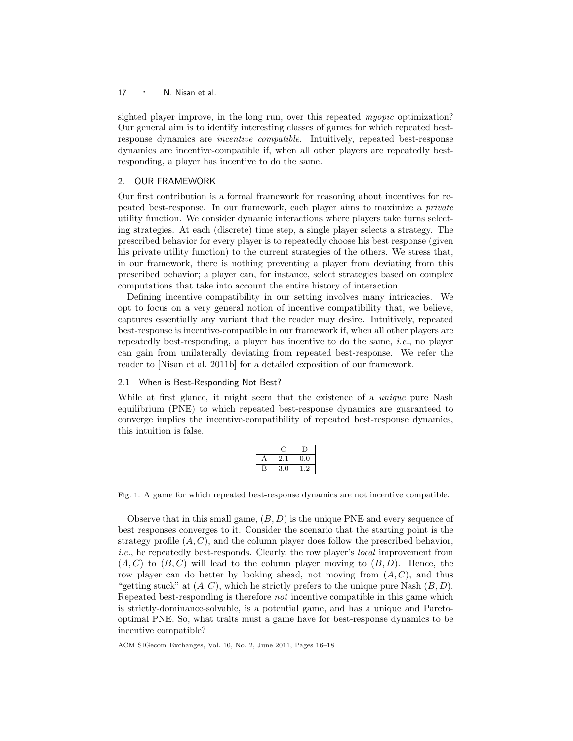# 17 · N. Nisan et al.

sighted player improve, in the long run, over this repeated *myopic* optimization? Our general aim is to identify interesting classes of games for which repeated bestresponse dynamics are incentive compatible. Intuitively, repeated best-response dynamics are incentive-compatible if, when all other players are repeatedly bestresponding, a player has incentive to do the same.

### 2. OUR FRAMEWORK

Our first contribution is a formal framework for reasoning about incentives for repeated best-response. In our framework, each player aims to maximize a private utility function. We consider dynamic interactions where players take turns selecting strategies. At each (discrete) time step, a single player selects a strategy. The prescribed behavior for every player is to repeatedly choose his best response (given his private utility function) to the current strategies of the others. We stress that, in our framework, there is nothing preventing a player from deviating from this prescribed behavior; a player can, for instance, select strategies based on complex computations that take into account the entire history of interaction.

Defining incentive compatibility in our setting involves many intricacies. We opt to focus on a very general notion of incentive compatibility that, we believe, captures essentially any variant that the reader may desire. Intuitively, repeated best-response is incentive-compatible in our framework if, when all other players are repeatedly best-responding, a player has incentive to do the same, *i.e.*, no player can gain from unilaterally deviating from repeated best-response. We refer the reader to [Nisan et al. 2011b] for a detailed exposition of our framework.

#### 2.1 When is Best-Responding Not Best?

While at first glance, it might seem that the existence of a *unique* pure Nash equilibrium (PNE) to which repeated best-response dynamics are guaranteed to converge implies the incentive-compatibility of repeated best-response dynamics, this intuition is false.

|   | 2,1 | $_{0,0}$  |
|---|-----|-----------|
| Κ | 3,0 | $\cdot$ ) |

Fig. 1. A game for which repeated best-response dynamics are not incentive compatible.

Observe that in this small game,  $(B, D)$  is the unique PNE and every sequence of best responses converges to it. Consider the scenario that the starting point is the strategy profile  $(A, C)$ , and the column player does follow the prescribed behavior, i.e., he repeatedly best-responds. Clearly, the row player's local improvement from  $(A, C)$  to  $(B, C)$  will lead to the column player moving to  $(B, D)$ . Hence, the row player can do better by looking ahead, not moving from  $(A, C)$ , and thus "getting stuck" at  $(A, C)$ , which he strictly prefers to the unique pure Nash  $(B, D)$ . Repeated best-responding is therefore not incentive compatible in this game which is strictly-dominance-solvable, is a potential game, and has a unique and Paretooptimal PNE. So, what traits must a game have for best-response dynamics to be incentive compatible?

ACM SIGecom Exchanges, Vol. 10, No. 2, June 2011, Pages 16–18